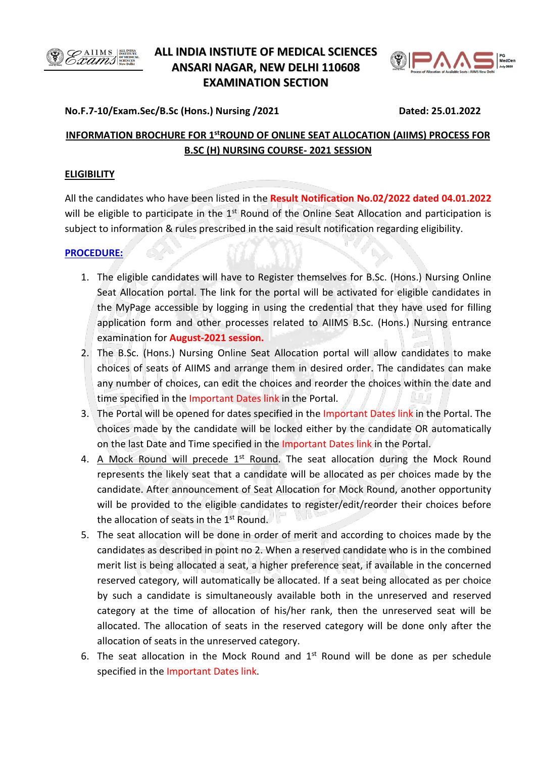

# **ALL INDIA INSTIUTE OF MEDICAL SCIENCES ANSARI NAGAR, NEW DELHI 110608 EXAMINATION SECTION**



### **No.F.7-10/Exam.Sec/B.Sc (Hons.) Nursing /2021 Dated: 25.01.2022**

## **INFORMATION BROCHURE FOR 1stROUND OF ONLINE SEAT ALLOCATION (AIIMS) PROCESS FOR B.SC (H) NURSING COURSE- 2021 SESSION**

#### **ELIGIBILITY**

All the candidates who have been listed in the **Result Notification No.02/2022 dated 04.01.2022** will be eligible to participate in the 1<sup>st</sup> Round of the Online Seat Allocation and participation is subject to information & rules prescribed in the said result notification regarding eligibility.

### **PROCEDURE:**

- 1. The eligible candidates will have to Register themselves for B.Sc. (Hons.) Nursing Online Seat Allocation portal. The link for the portal will be activated for eligible candidates in the MyPage accessible by logging in using the credential that they have used for filling application form and other processes related to AIIMS B.Sc. (Hons.) Nursing entrance examination for **August-2021 session.**
- 2. The B.Sc. (Hons.) Nursing Online Seat Allocation portal will allow candidates to make choices of seats of AIIMS and arrange them in desired order. The candidates can make any number of choices, can edit the choices and reorder the choices within the date and time specified in the Important Dates link in the Portal.
- 3. The Portal will be opened for dates specified in the Important Dates link in the Portal. The choices made by the candidate will be locked either by the candidate OR automatically on the last Date and Time specified in the Important Dates link in the Portal.
- 4. A Mock Round will precede 1<sup>st</sup> Round. The seat allocation during the Mock Round represents the likely seat that a candidate will be allocated as per choices made by the candidate. After announcement of Seat Allocation for Mock Round, another opportunity will be provided to the eligible candidates to register/edit/reorder their choices before the allocation of seats in the 1st Round. un b
- 5. The seat allocation will be done in order of merit and according to choices made by the candidates as described in point no 2. When a reserved candidate who is in the combined merit list is being allocated a seat, a higher preference seat, if available in the concerned reserved category, will automatically be allocated. If a seat being allocated as per choice by such a candidate is simultaneously available both in the unreserved and reserved category at the time of allocation of his/her rank, then the unreserved seat will be allocated. The allocation of seats in the reserved category will be done only after the allocation of seats in the unreserved category.
- 6. The seat allocation in the Mock Round and  $1<sup>st</sup>$  Round will be done as per schedule specified in the Important Dates link.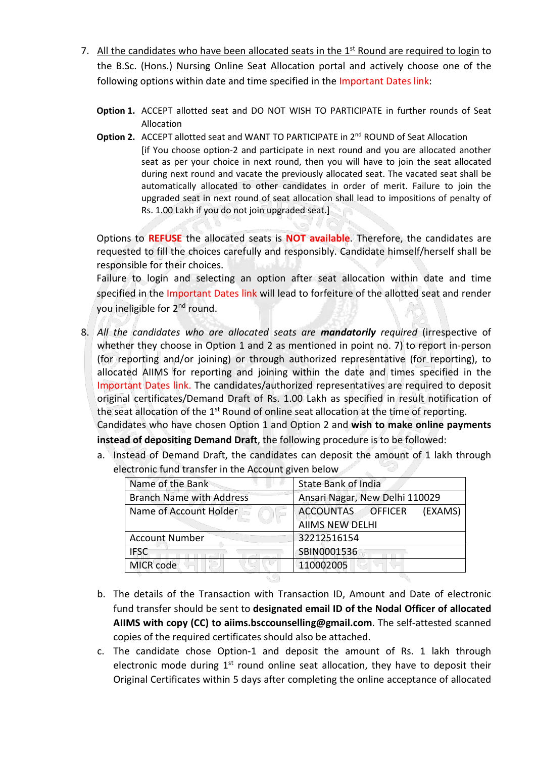- 7. All the candidates who have been allocated seats in the 1<sup>st</sup> Round are required to login to the B.Sc. (Hons.) Nursing Online Seat Allocation portal and actively choose one of the following options within date and time specified in the Important Dates link:
	- **Option 1.** ACCEPT allotted seat and DO NOT WISH TO PARTICIPATE in further rounds of Seat Allocation
	- **Option 2.** ACCEPT allotted seat and WANT TO PARTICIPATE in 2<sup>nd</sup> ROUND of Seat Allocation [if You choose option-2 and participate in next round and you are allocated another seat as per your choice in next round, then you will have to join the seat allocated during next round and vacate the previously allocated seat. The vacated seat shall be automatically allocated to other candidates in order of merit. Failure to join the upgraded seat in next round of seat allocation shall lead to impositions of penalty of Rs. 1.00 Lakh if you do not join upgraded seat.]

Options to **REFUSE** the allocated seats is **NOT available**. Therefore, the candidates are requested to fill the choices carefully and responsibly. Candidate himself/herself shall be responsible for their choices.

Failure to login and selecting an option after seat allocation within date and time specified in the Important Dates link will lead to forfeiture of the allotted seat and render you ineligible for 2nd round.

8. *All the candidates who are allocated seats are mandatorily required* (irrespective of whether they choose in Option 1 and 2 as mentioned in point no. 7) to report in-person (for reporting and/or joining) or through authorized representative (for reporting), to allocated AIIMS for reporting and joining within the date and times specified in the Important Dates link. The candidates/authorized representatives are required to deposit original certificates/Demand Draft of Rs. 1.00 Lakh as specified in result notification of the seat allocation of the 1<sup>st</sup> Round of online seat allocation at the time of reporting. Candidates who have chosen Option 1 and Option 2 and **wish to make online payments** 

**instead of depositing Demand Draft**, the following procedure is to be followed:

a. Instead of Demand Draft, the candidates can deposit the amount of 1 lakh through electronic fund transfer in the Account given below

| Name of the Bank                | <b>State Bank of India</b>     |
|---------------------------------|--------------------------------|
| <b>Branch Name with Address</b> | Ansari Nagar, New Delhi 110029 |
| Name of Account Holder          | ACCOUNTAS OFFICER<br>(EXAMS)   |
|                                 | <b>AIIMS NEW DELHI</b>         |
| <b>Account Number</b>           | 32212516154                    |
| <b>IFSC</b>                     | SBIN0001536                    |
| MICR code                       | 110002005                      |

- b. The details of the Transaction with Transaction ID, Amount and Date of electronic fund transfer should be sent to **designated email ID of the Nodal Officer of allocated AIIMS with copy (CC) to aiims.bsccounselling@gmail.com**. The self-attested scanned copies of the required certificates should also be attached.
- c. The candidate chose Option-1 and deposit the amount of Rs. 1 lakh through electronic mode during  $1<sup>st</sup>$  round online seat allocation, they have to deposit their Original Certificates within 5 days after completing the online acceptance of allocated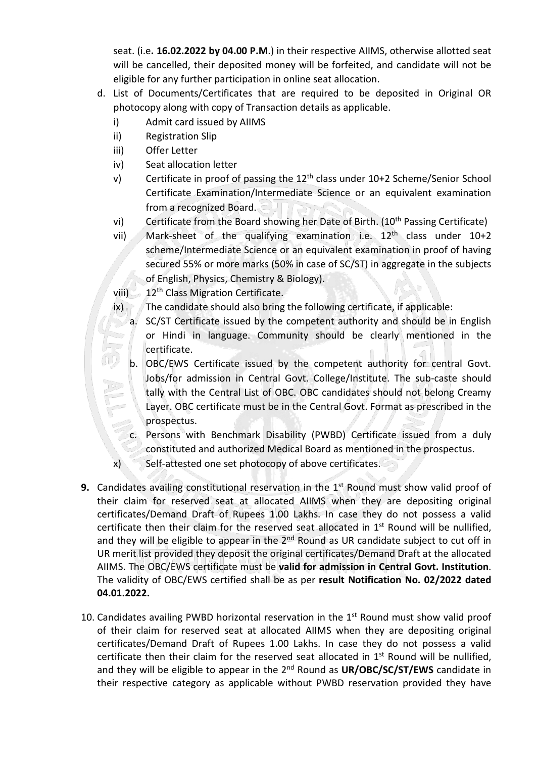seat. (i.e**. 16.02.2022 by 04.00 P.M**.) in their respective AIIMS, otherwise allotted seat will be cancelled, their deposited money will be forfeited, and candidate will not be eligible for any further participation in online seat allocation.

- d. List of Documents/Certificates that are required to be deposited in Original OR photocopy along with copy of Transaction details as applicable.
	- i) Admit card issued by AIIMS
	- ii) Registration Slip
	- iii) Offer Letter
	- iv) Seat allocation letter
	- v) Certificate in proof of passing the 12<sup>th</sup> class under 10+2 Scheme/Senior School Certificate Examination/Intermediate Science or an equivalent examination from a recognized Board.
	- vi) Certificate from the Board showing her Date of Birth. (10<sup>th</sup> Passing Certificate)
	- vii) Mark-sheet of the qualifying examination i.e. 12th class under 10+2 scheme/Intermediate Science or an equivalent examination in proof of having secured 55% or more marks (50% in case of SC/ST) in aggregate in the subjects of English, Physics, Chemistry & Biology).
	- viii)  $\sim 12$ <sup>th</sup> Class Migration Certificate.
	- ix) The candidate should also bring the following certificate, if applicable:
		- a. SC/ST Certificate issued by the competent authority and should be in English or Hindi in language. Community should be clearly mentioned in the certificate.
		- b. OBC/EWS Certificate issued by the competent authority for central Govt. Jobs/for admission in Central Govt. College/Institute. The sub-caste should tally with the Central List of OBC. OBC candidates should not belong Creamy Layer. OBC certificate must be in the Central Govt. Format as prescribed in the prospectus.
		- c. Persons with Benchmark Disability (PWBD) Certificate issued from a duly constituted and authorized Medical Board as mentioned in the prospectus.
	- x) Self-attested one set photocopy of above certificates.
- **9.** Candidates availing constitutional reservation in the 1<sup>st</sup> Round must show valid proof of their claim for reserved seat at allocated AIIMS when they are depositing original certificates/Demand Draft of Rupees 1.00 Lakhs. In case they do not possess a valid certificate then their claim for the reserved seat allocated in 1st Round will be nullified, and they will be eligible to appear in the  $2<sup>nd</sup>$  Round as UR candidate subject to cut off in UR merit list provided they deposit the original certificates/Demand Draft at the allocated AIIMS. The OBC/EWS certificate must be **valid for admission in Central Govt. Institution**. The validity of OBC/EWS certified shall be as per **result Notification No. 02/2022 dated 04.01.2022.**
- 10. Candidates availing PWBD horizontal reservation in the  $1<sup>st</sup>$  Round must show valid proof of their claim for reserved seat at allocated AIIMS when they are depositing original certificates/Demand Draft of Rupees 1.00 Lakhs. In case they do not possess a valid certificate then their claim for the reserved seat allocated in  $1<sup>st</sup>$  Round will be nullified. and they will be eligible to appear in the 2<sup>nd</sup> Round as UR/OBC/SC/ST/EWS candidate in their respective category as applicable without PWBD reservation provided they have